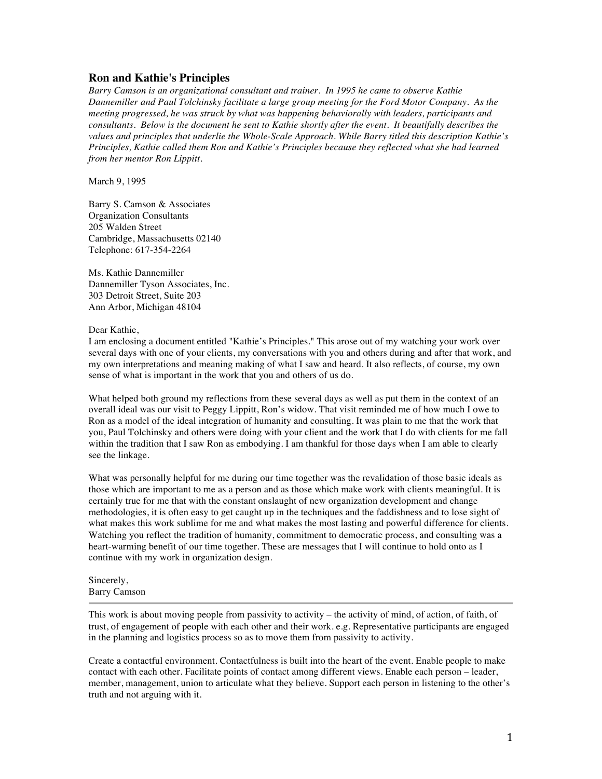## **Ron and Kathie's Principles**

*Barry Camson is an organizational consultant and trainer. In 1995 he came to observe Kathie Dannemiller and Paul Tolchinsky facilitate a large group meeting for the Ford Motor Company. As the meeting progressed, he was struck by what was happening behaviorally with leaders, participants and consultants. Below is the document he sent to Kathie shortly after the event. It beautifully describes the values and principles that underlie the Whole-Scale Approach. While Barry titled this description Kathie's Principles, Kathie called them Ron and Kathie's Principles because they reflected what she had learned from her mentor Ron Lippitt.*

March 9, 1995

Barry S. Camson & Associates Organization Consultants 205 Walden Street Cambridge, Massachusetts 02140 Telephone: 617-354-2264

Ms. Kathie Dannemiller Dannemiller Tyson Associates, Inc. 303 Detroit Street, Suite 203 Ann Arbor, Michigan 48104

Dear Kathie,

I am enclosing a document entitled "Kathie's Principles." This arose out of my watching your work over several days with one of your clients, my conversations with you and others during and after that work, and my own interpretations and meaning making of what I saw and heard. It also reflects, of course, my own sense of what is important in the work that you and others of us do.

What helped both ground my reflections from these several days as well as put them in the context of an overall ideal was our visit to Peggy Lippitt, Ron's widow. That visit reminded me of how much I owe to Ron as a model of the ideal integration of humanity and consulting. It was plain to me that the work that you, Paul Tolchinsky and others were doing with your client and the work that I do with clients for me fall within the tradition that I saw Ron as embodying. I am thankful for those days when I am able to clearly see the linkage.

What was personally helpful for me during our time together was the revalidation of those basic ideals as those which are important to me as a person and as those which make work with clients meaningful. It is certainly true for me that with the constant onslaught of new organization development and change methodologies, it is often easy to get caught up in the techniques and the faddishness and to lose sight of what makes this work sublime for me and what makes the most lasting and powerful difference for clients. Watching you reflect the tradition of humanity, commitment to democratic process, and consulting was a heart-warming benefit of our time together. These are messages that I will continue to hold onto as I continue with my work in organization design.

Sincerely, Barry Camson

This work is about moving people from passivity to activity – the activity of mind, of action, of faith, of trust, of engagement of people with each other and their work. e.g. Representative participants are engaged in the planning and logistics process so as to move them from passivity to activity.

Create a contactful environment. Contactfulness is built into the heart of the event. Enable people to make contact with each other. Facilitate points of contact among different views. Enable each person – leader, member, management, union to articulate what they believe. Support each person in listening to the other's truth and not arguing with it.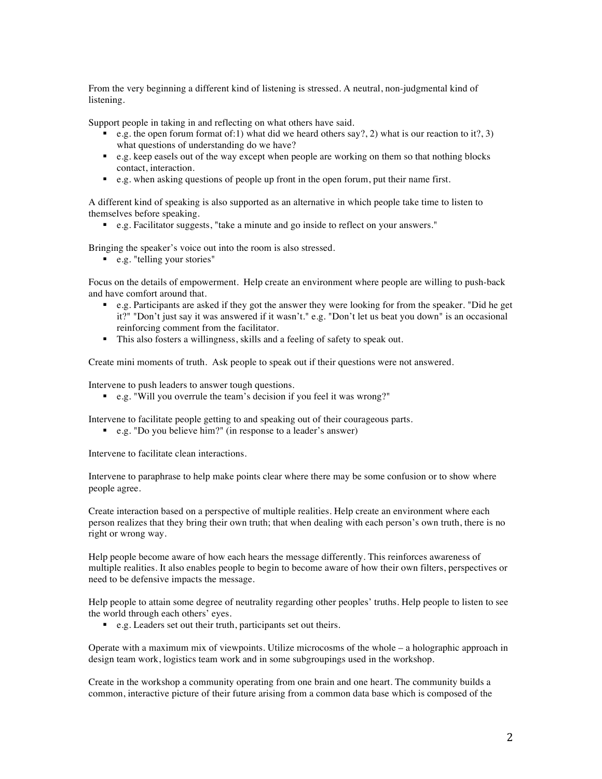From the very beginning a different kind of listening is stressed. A neutral, non-judgmental kind of listening.

Support people in taking in and reflecting on what others have said.

- e.g. the open forum format of:1) what did we heard others say?, 2) what is our reaction to it?, 3) what questions of understanding do we have?
- e.g. keep easels out of the way except when people are working on them so that nothing blocks contact, interaction.
- e.g. when asking questions of people up front in the open forum, put their name first.

A different kind of speaking is also supported as an alternative in which people take time to listen to themselves before speaking.

e.g. Facilitator suggests, "take a minute and go inside to reflect on your answers."

Bringing the speaker's voice out into the room is also stressed.

e.g. "telling your stories"

Focus on the details of empowerment. Help create an environment where people are willing to push-back and have comfort around that.

- e.g. Participants are asked if they got the answer they were looking for from the speaker. "Did he get it?" "Don't just say it was answered if it wasn't." e.g. "Don't let us beat you down" is an occasional reinforcing comment from the facilitator.
- This also fosters a willingness, skills and a feeling of safety to speak out.

Create mini moments of truth. Ask people to speak out if their questions were not answered.

Intervene to push leaders to answer tough questions.

e.g. "Will you overrule the team's decision if you feel it was wrong?"

Intervene to facilitate people getting to and speaking out of their courageous parts.

e.g. "Do you believe him?" (in response to a leader's answer)

Intervene to facilitate clean interactions.

Intervene to paraphrase to help make points clear where there may be some confusion or to show where people agree.

Create interaction based on a perspective of multiple realities. Help create an environment where each person realizes that they bring their own truth; that when dealing with each person's own truth, there is no right or wrong way.

Help people become aware of how each hears the message differently. This reinforces awareness of multiple realities. It also enables people to begin to become aware of how their own filters, perspectives or need to be defensive impacts the message.

Help people to attain some degree of neutrality regarding other peoples' truths. Help people to listen to see the world through each others' eyes.

e.g. Leaders set out their truth, participants set out theirs.

Operate with a maximum mix of viewpoints. Utilize microcosms of the whole – a holographic approach in design team work, logistics team work and in some subgroupings used in the workshop.

Create in the workshop a community operating from one brain and one heart. The community builds a common, interactive picture of their future arising from a common data base which is composed of the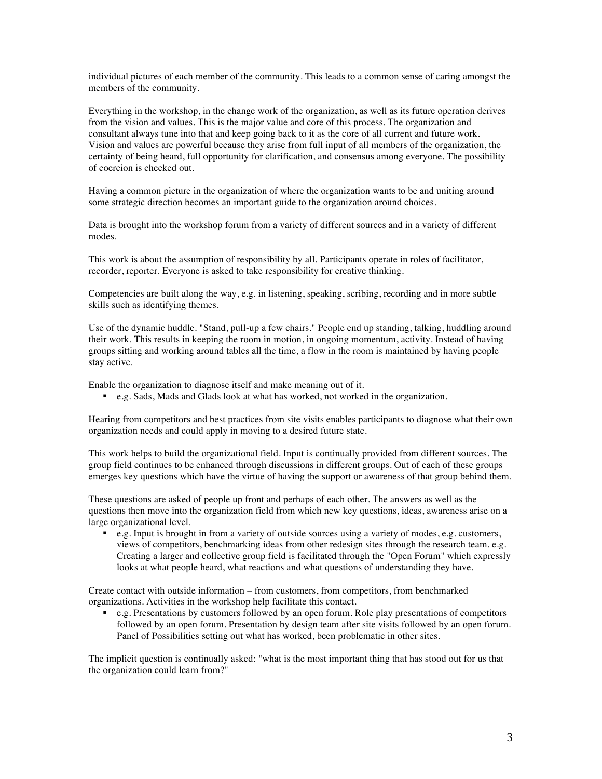individual pictures of each member of the community. This leads to a common sense of caring amongst the members of the community.

Everything in the workshop, in the change work of the organization, as well as its future operation derives from the vision and values. This is the major value and core of this process. The organization and consultant always tune into that and keep going back to it as the core of all current and future work. Vision and values are powerful because they arise from full input of all members of the organization, the certainty of being heard, full opportunity for clarification, and consensus among everyone. The possibility of coercion is checked out.

Having a common picture in the organization of where the organization wants to be and uniting around some strategic direction becomes an important guide to the organization around choices.

Data is brought into the workshop forum from a variety of different sources and in a variety of different modes.

This work is about the assumption of responsibility by all. Participants operate in roles of facilitator, recorder, reporter. Everyone is asked to take responsibility for creative thinking.

Competencies are built along the way, e.g. in listening, speaking, scribing, recording and in more subtle skills such as identifying themes.

Use of the dynamic huddle. "Stand, pull-up a few chairs." People end up standing, talking, huddling around their work. This results in keeping the room in motion, in ongoing momentum, activity. Instead of having groups sitting and working around tables all the time, a flow in the room is maintained by having people stay active.

Enable the organization to diagnose itself and make meaning out of it.

e.g. Sads, Mads and Glads look at what has worked, not worked in the organization.

Hearing from competitors and best practices from site visits enables participants to diagnose what their own organization needs and could apply in moving to a desired future state.

This work helps to build the organizational field. Input is continually provided from different sources. The group field continues to be enhanced through discussions in different groups. Out of each of these groups emerges key questions which have the virtue of having the support or awareness of that group behind them.

These questions are asked of people up front and perhaps of each other. The answers as well as the questions then move into the organization field from which new key questions, ideas, awareness arise on a large organizational level.

 e.g. Input is brought in from a variety of outside sources using a variety of modes, e.g. customers, views of competitors, benchmarking ideas from other redesign sites through the research team. e.g. Creating a larger and collective group field is facilitated through the "Open Forum" which expressly looks at what people heard, what reactions and what questions of understanding they have.

Create contact with outside information – from customers, from competitors, from benchmarked organizations. Activities in the workshop help facilitate this contact.

 e.g. Presentations by customers followed by an open forum. Role play presentations of competitors followed by an open forum. Presentation by design team after site visits followed by an open forum. Panel of Possibilities setting out what has worked, been problematic in other sites.

The implicit question is continually asked: "what is the most important thing that has stood out for us that the organization could learn from?"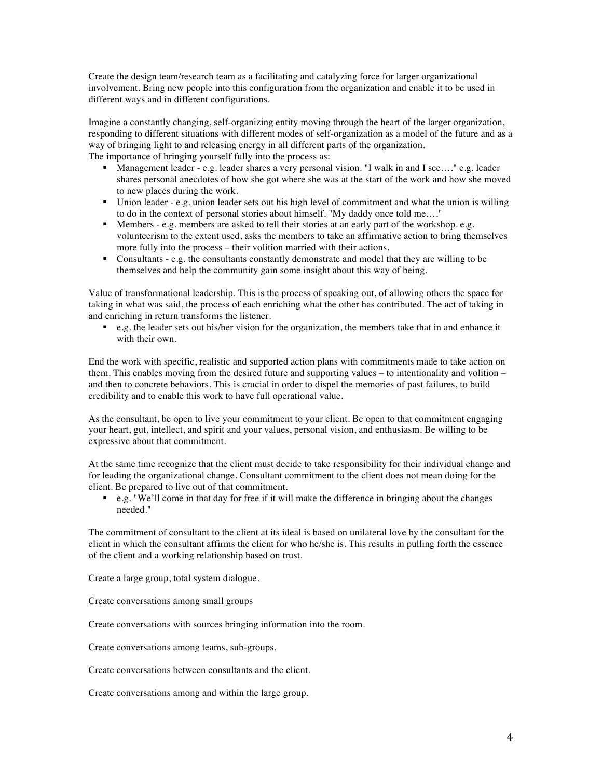Create the design team/research team as a facilitating and catalyzing force for larger organizational involvement. Bring new people into this configuration from the organization and enable it to be used in different ways and in different configurations.

Imagine a constantly changing, self-organizing entity moving through the heart of the larger organization, responding to different situations with different modes of self-organization as a model of the future and as a way of bringing light to and releasing energy in all different parts of the organization. The importance of bringing yourself fully into the process as:

- Management leader e.g. leader shares a very personal vision. "I walk in and I see...." e.g. leader shares personal anecdotes of how she got where she was at the start of the work and how she moved to new places during the work.
- Union leader e.g. union leader sets out his high level of commitment and what the union is willing to do in the context of personal stories about himself. "My daddy once told me…."
- Members e.g. members are asked to tell their stories at an early part of the workshop. e.g. volunteerism to the extent used, asks the members to take an affirmative action to bring themselves more fully into the process – their volition married with their actions.
- Consultants e.g. the consultants constantly demonstrate and model that they are willing to be themselves and help the community gain some insight about this way of being.

Value of transformational leadership. This is the process of speaking out, of allowing others the space for taking in what was said, the process of each enriching what the other has contributed. The act of taking in and enriching in return transforms the listener.

 e.g. the leader sets out his/her vision for the organization, the members take that in and enhance it with their own.

End the work with specific, realistic and supported action plans with commitments made to take action on them. This enables moving from the desired future and supporting values – to intentionality and volition – and then to concrete behaviors. This is crucial in order to dispel the memories of past failures, to build credibility and to enable this work to have full operational value.

As the consultant, be open to live your commitment to your client. Be open to that commitment engaging your heart, gut, intellect, and spirit and your values, personal vision, and enthusiasm. Be willing to be expressive about that commitment.

At the same time recognize that the client must decide to take responsibility for their individual change and for leading the organizational change. Consultant commitment to the client does not mean doing for the client. Be prepared to live out of that commitment.

 e.g. "We'll come in that day for free if it will make the difference in bringing about the changes needed."

The commitment of consultant to the client at its ideal is based on unilateral love by the consultant for the client in which the consultant affirms the client for who he/she is. This results in pulling forth the essence of the client and a working relationship based on trust.

Create a large group, total system dialogue.

Create conversations among small groups

Create conversations with sources bringing information into the room.

Create conversations among teams, sub-groups.

Create conversations between consultants and the client.

Create conversations among and within the large group.